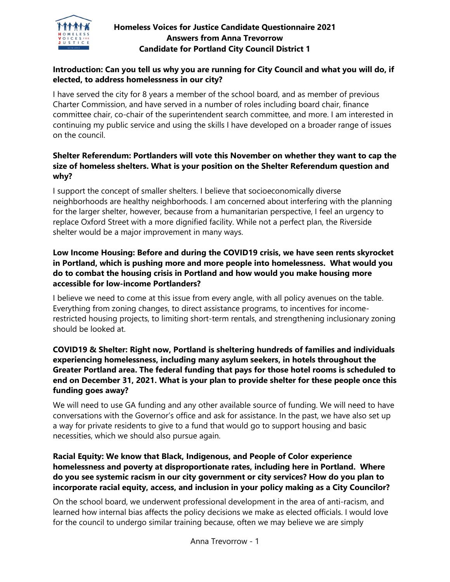

# **Homeless Voices for Justice Candidate Questionnaire 2021 Answers from Anna Trevorrow Candidate for Portland City Council District 1**

# **Introduction: Can you tell us why you are running for City Council and what you will do, if elected, to address homelessness in our city?**

I have served the city for 8 years a member of the school board, and as member of previous Charter Commission, and have served in a number of roles including board chair, finance committee chair, co-chair of the superintendent search committee, and more. I am interested in continuing my public service and using the skills I have developed on a broader range of issues on the council.

# **Shelter Referendum: Portlanders will vote this November on whether they want to cap the size of homeless shelters. What is your position on the Shelter Referendum question and why?**

I support the concept of smaller shelters. I believe that socioeconomically diverse neighborhoods are healthy neighborhoods. I am concerned about interfering with the planning for the larger shelter, however, because from a humanitarian perspective, I feel an urgency to replace Oxford Street with a more dignified facility. While not a perfect plan, the Riverside shelter would be a major improvement in many ways.

# **Low Income Housing: Before and during the COVID19 crisis, we have seen rents skyrocket in Portland, which is pushing more and more people into homelessness. What would you do to combat the housing crisis in Portland and how would you make housing more accessible for low-income Portlanders?**

I believe we need to come at this issue from every angle, with all policy avenues on the table. Everything from zoning changes, to direct assistance programs, to incentives for incomerestricted housing projects, to limiting short-term rentals, and strengthening inclusionary zoning should be looked at.

# **COVID19 & Shelter: Right now, Portland is sheltering hundreds of families and individuals experiencing homelessness, including many asylum seekers, in hotels throughout the Greater Portland area. The federal funding that pays for those hotel rooms is scheduled to end on December 31, 2021. What is your plan to provide shelter for these people once this funding goes away?**

We will need to use GA funding and any other available source of funding. We will need to have conversations with the Governor's office and ask for assistance. In the past, we have also set up a way for private residents to give to a fund that would go to support housing and basic necessities, which we should also pursue again.

# **Racial Equity: We know that Black, Indigenous, and People of Color experience homelessness and poverty at disproportionate rates, including here in Portland. Where do you see systemic racism in our city government or city services? How do you plan to incorporate racial equity, access, and inclusion in your policy making as a City Councilor?**

On the school board, we underwent professional development in the area of anti-racism, and learned how internal bias affects the policy decisions we make as elected officials. I would love for the council to undergo similar training because, often we may believe we are simply